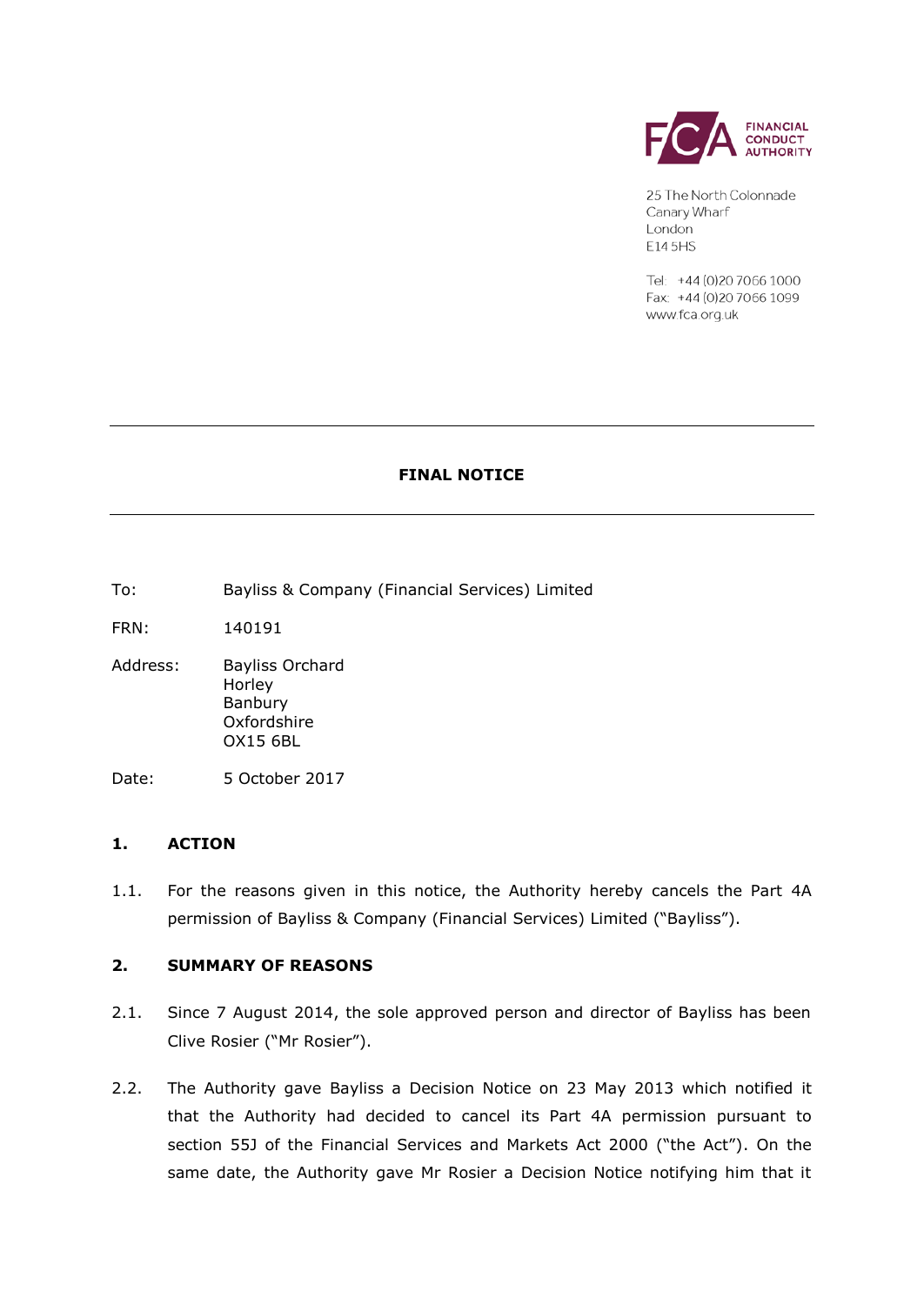

25 The North Colonnade Canary Wharf London E14 5HS

Tel: +44 (0)20 7066 1000 Fax: +44 (0)20 7066 1099 www.fca.org.uk

# **FINAL NOTICE**

To: Bayliss & Company (Financial Services) Limited

FRN: 140191

Address: Bayliss Orchard Horley Banbury Oxfordshire OX15 6BL

Date: 5 October 2017

# **1. ACTION**

1.1. For the reasons given in this notice, the Authority hereby cancels the Part 4A permission of Bayliss & Company (Financial Services) Limited ("Bayliss").

# **2. SUMMARY OF REASONS**

- 2.1. Since 7 August 2014, the sole approved person and director of Bayliss has been Clive Rosier ("Mr Rosier").
- 2.2. The Authority gave Bayliss a Decision Notice on 23 May 2013 which notified it that the Authority had decided to cancel its Part 4A permission pursuant to section 55J of the Financial Services and Markets Act 2000 ("the Act"). On the same date, the Authority gave Mr Rosier a Decision Notice notifying him that it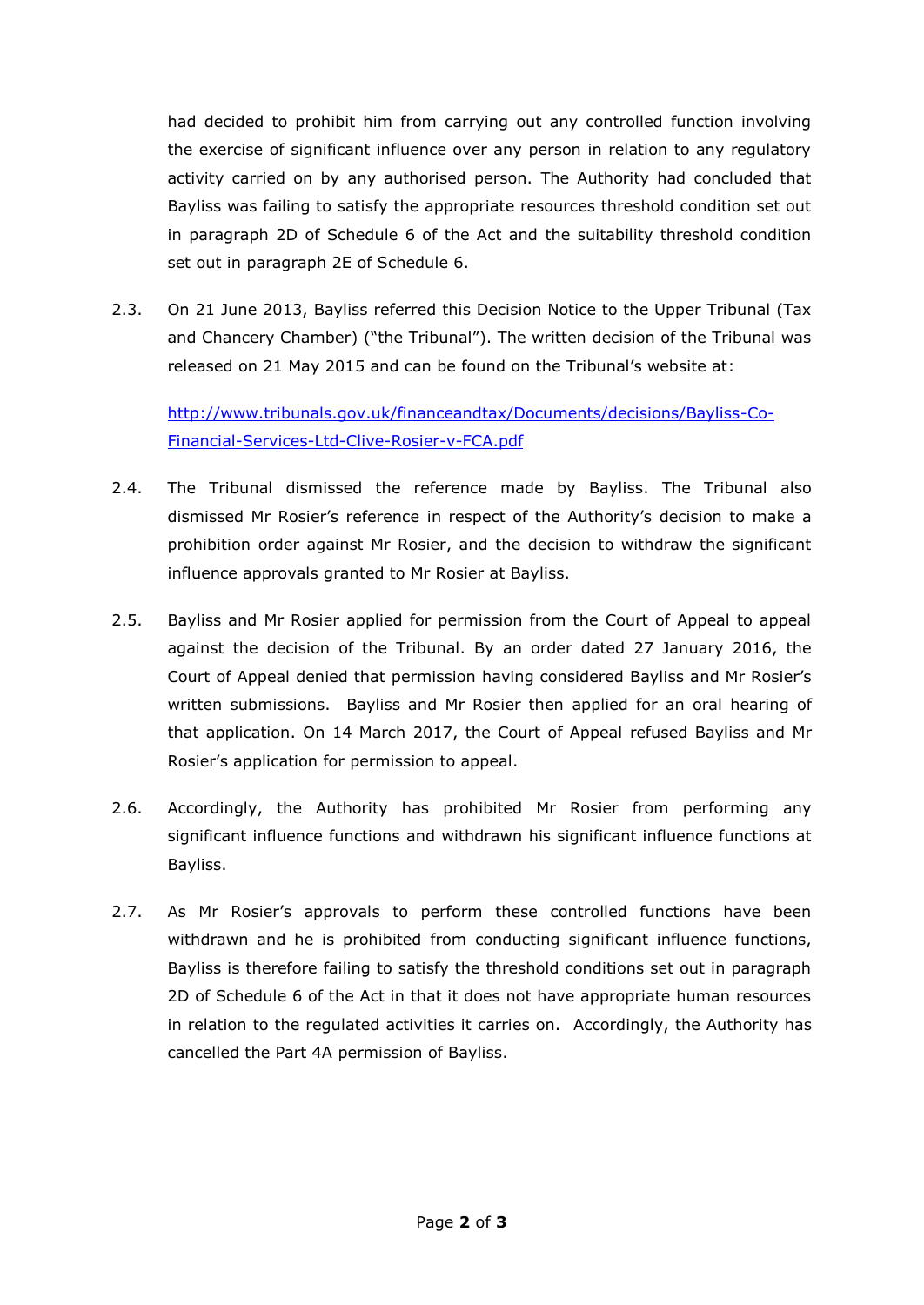had decided to prohibit him from carrying out any controlled function involving the exercise of significant influence over any person in relation to any regulatory activity carried on by any authorised person. The Authority had concluded that Bayliss was failing to satisfy the appropriate resources threshold condition set out in paragraph 2D of Schedule 6 of the Act and the suitability threshold condition set out in paragraph 2E of Schedule 6.

2.3. On 21 June 2013, Bayliss referred this Decision Notice to the Upper Tribunal (Tax and Chancery Chamber) ("the Tribunal"). The written decision of the Tribunal was released on 21 May 2015 and can be found on the Tribunal's website at:

[http://www.tribunals.gov.uk/financeandtax/Documents/decisions/Bayliss-Co-](http://www.tribunals.gov.uk/financeandtax/Documents/decisions/Bayliss-Co-Financial-Services-Ltd-Clive-Rosier-v-FCA.pdf)[Financial-Services-Ltd-Clive-Rosier-v-FCA.pdf](http://www.tribunals.gov.uk/financeandtax/Documents/decisions/Bayliss-Co-Financial-Services-Ltd-Clive-Rosier-v-FCA.pdf)

- 2.4. The Tribunal dismissed the reference made by Bayliss. The Tribunal also dismissed Mr Rosier's reference in respect of the Authority's decision to make a prohibition order against Mr Rosier, and the decision to withdraw the significant influence approvals granted to Mr Rosier at Bayliss.
- 2.5. Bayliss and Mr Rosier applied for permission from the Court of Appeal to appeal against the decision of the Tribunal. By an order dated 27 January 2016, the Court of Appeal denied that permission having considered Bayliss and Mr Rosier's written submissions. Bayliss and Mr Rosier then applied for an oral hearing of that application. On 14 March 2017, the Court of Appeal refused Bayliss and Mr Rosier's application for permission to appeal.
- 2.6. Accordingly, the Authority has prohibited Mr Rosier from performing any significant influence functions and withdrawn his significant influence functions at Bayliss.
- 2.7. As Mr Rosier's approvals to perform these controlled functions have been withdrawn and he is prohibited from conducting significant influence functions, Bayliss is therefore failing to satisfy the threshold conditions set out in paragraph 2D of Schedule 6 of the Act in that it does not have appropriate human resources in relation to the regulated activities it carries on. Accordingly, the Authority has cancelled the Part 4A permission of Bayliss.